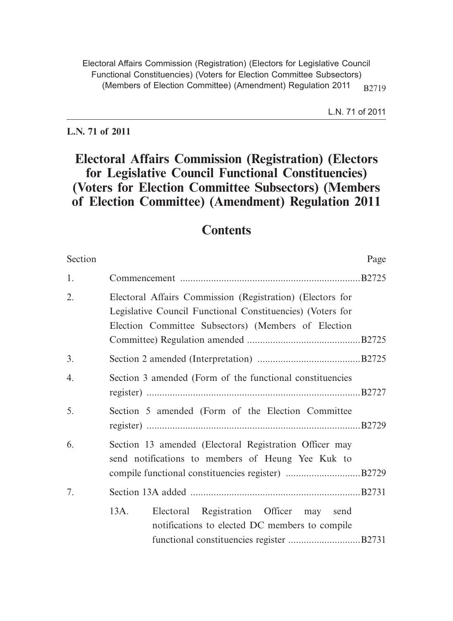**L.N. 71 of 2011**

# **Electoral Affairs Commission (Registration) (Electors for Legislative Council Functional Constituencies) (Voters for Election Committee Subsectors) (Members of Election Committee) (Amendment) Regulation 2011**

# **Contents**

| Section          | Page                                                                                                                                                                           |
|------------------|--------------------------------------------------------------------------------------------------------------------------------------------------------------------------------|
| 1.               |                                                                                                                                                                                |
| 2.               | Electoral Affairs Commission (Registration) (Electors for<br>Legislative Council Functional Constituencies) (Voters for<br>Election Committee Subsectors) (Members of Election |
| 3.               |                                                                                                                                                                                |
| $\overline{4}$ . | Section 3 amended (Form of the functional constituencies                                                                                                                       |
| 5.               | Section 5 amended (Form of the Election Committee                                                                                                                              |
| 6.               | Section 13 amended (Electoral Registration Officer may<br>send notifications to members of Heung Yee Kuk to                                                                    |
| 7.               |                                                                                                                                                                                |
|                  | 13A.<br>Electoral Registration Officer may send<br>notifications to elected DC members to compile                                                                              |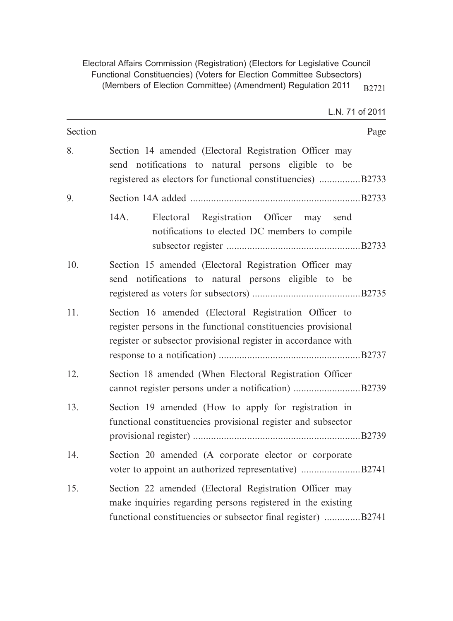| Section |                                                                                                                                                                                         | Page |
|---------|-----------------------------------------------------------------------------------------------------------------------------------------------------------------------------------------|------|
| 8.      | Section 14 amended (Electoral Registration Officer may<br>send notifications to natural persons eligible to be<br>registered as electors for functional constituencies) B2733           |      |
| 9.      |                                                                                                                                                                                         |      |
|         | Electoral Registration Officer may<br>14A.<br>send<br>notifications to elected DC members to compile                                                                                    |      |
| 10.     | Section 15 amended (Electoral Registration Officer may<br>send notifications to natural persons eligible to be                                                                          |      |
| 11.     | Section 16 amended (Electoral Registration Officer to<br>register persons in the functional constituencies provisional<br>register or subsector provisional register in accordance with |      |
| 12.     | Section 18 amended (When Electoral Registration Officer                                                                                                                                 |      |
| 13.     | Section 19 amended (How to apply for registration in<br>functional constituencies provisional register and subsector                                                                    |      |
| 14.     | Section 20 amended (A corporate elector or corporate                                                                                                                                    |      |
| 15.     | Section 22 amended (Electoral Registration Officer may<br>make inquiries regarding persons registered in the existing<br>functional constituencies or subsector final register) B2741   |      |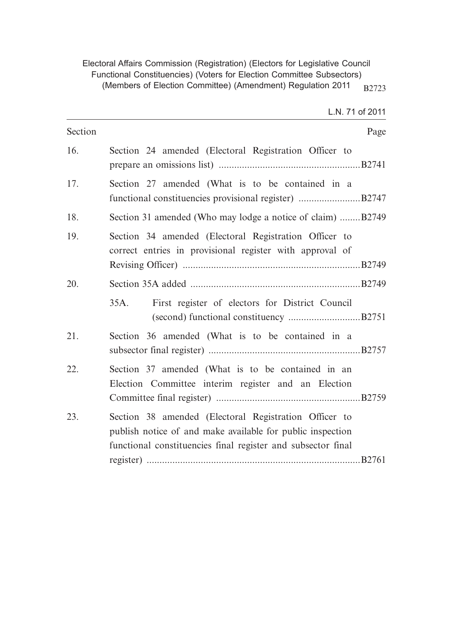| Section | Page                                                                                                                                                                                |
|---------|-------------------------------------------------------------------------------------------------------------------------------------------------------------------------------------|
| 16.     | Section 24 amended (Electoral Registration Officer to                                                                                                                               |
| 17.     | Section 27 amended (What is to be contained in a                                                                                                                                    |
| 18.     | Section 31 amended (Who may lodge a notice of claim) B2749                                                                                                                          |
| 19.     | Section 34 amended (Electoral Registration Officer to<br>correct entries in provisional register with approval of                                                                   |
| 20.     |                                                                                                                                                                                     |
|         | First register of electors for District Council<br>35A.                                                                                                                             |
| 21.     | Section 36 amended (What is to be contained in a                                                                                                                                    |
| 22.     | Section 37 amended (What is to be contained in an<br>Election Committee interim register and an Election                                                                            |
| 23.     | Section 38 amended (Electoral Registration Officer to<br>publish notice of and make available for public inspection<br>functional constituencies final register and subsector final |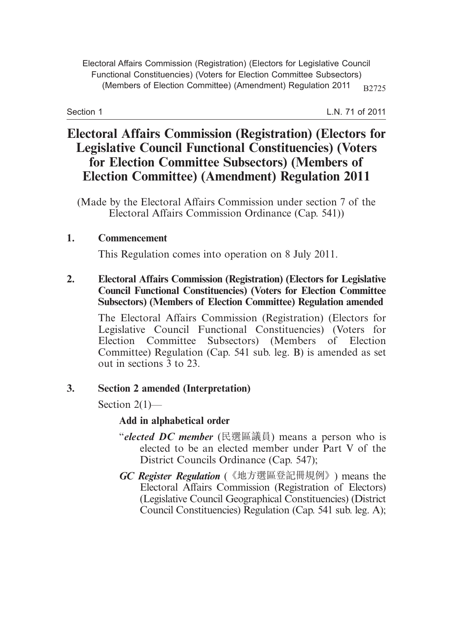Section 1

L.N. 71 of 2011

# **Electoral Affairs Commission (Registration) (Electors for Legislative Council Functional Constituencies) (Voters for Election Committee Subsectors) (Members of Election Committee) (Amendment) Regulation 2011**

(Made by the Electoral Affairs Commission under section 7 of the Electoral Affairs Commission Ordinance (Cap. 541))

#### **1. Commencement**

This Regulation comes into operation on 8 July 2011.

**2. Electoral Affairs Commission (Registration) (Electors for Legislative Council Functional Constituencies) (Voters for Election Committee Subsectors) (Members of Election Committee) Regulation amended**

The Electoral Affairs Commission (Registration) (Electors for Legislative Council Functional Constituencies) (Voters for Election Committee Subsectors) (Members of Election Committee) Regulation (Cap. 541 sub. leg. B) is amended as set out in sections 3 to 23.

#### **3. Section 2 amended (Interpretation)**

Section  $2(1)$ —

#### **Add in alphabetical order**

- "*elected DC member* (民選區議員) means a person who is elected to be an elected member under Part V of the District Councils Ordinance (Cap. 547);
- *GC Register Regulation* (《地方選區登記冊規例》) means the Electoral Affairs Commission (Registration of Electors) (Legislative Council Geographical Constituencies) (District Council Constituencies) Regulation (Cap. 541 sub. leg. A);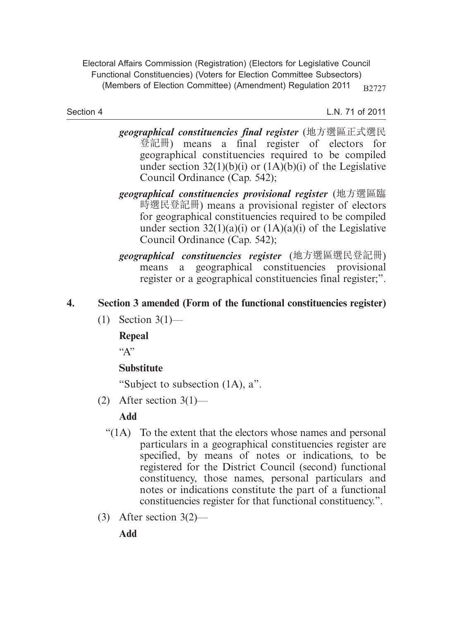Section 4

L.N. 71 of 2011

- *geographical constituencies final register* (地方選區正式選民 登記冊) means a final register of electors for geographical constituencies required to be compiled under section  $32(1)(b)(i)$  or  $(1A)(b)(i)$  of the Legislative Council Ordinance (Cap. 542);
- *geographical constituencies provisional register* (地方選區臨 時選民登記冊) means a provisional register of electors for geographical constituencies required to be compiled under section  $32(1)(a)(i)$  or  $(1A)(a)(i)$  of the Legislative Council Ordinance (Cap. 542);
- *geographical constituencies register* (地方選區選民登記冊) means a geographical constituencies provisional register or a geographical constituencies final register;".

# **4. Section 3 amended (Form of the functional constituencies register)**

(1) Section 3(1)—

**Repeal**

 $\mathcal{L}^{\bullet}$ 

# **Substitute**

"Subject to subsection (1A), a".

(2) After section  $3(1)$ —

# **Add**

- "(1A) To the extent that the electors whose names and personal particulars in a geographical constituencies register are specified, by means of notes or indications, to be registered for the District Council (second) functional constituency, those names, personal particulars and notes or indications constitute the part of a functional constituencies register for that functional constituency.".
- (3) After section 3(2)—

**Add**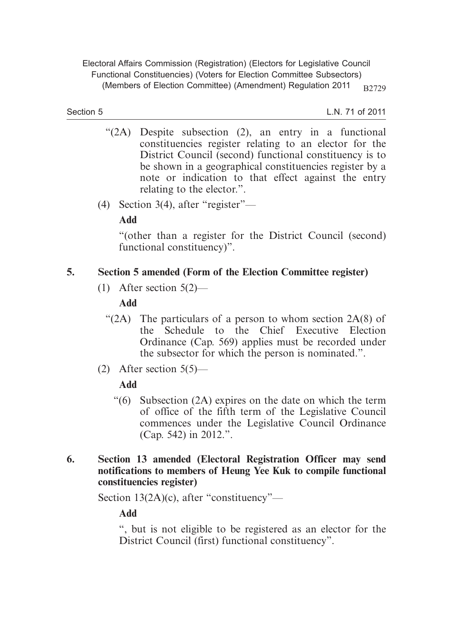Section 5

L.N. 71 of 2011

- "(2A) Despite subsection (2), an entry in a functional constituencies register relating to an elector for the District Council (second) functional constituency is to be shown in a geographical constituencies register by a note or indication to that effect against the entry relating to the elector.".
- (4) Section 3(4), after "register"—

**Add**

"(other than a register for the District Council (second) functional constituency)".

## **5. Section 5 amended (Form of the Election Committee register)**

(1) After section 5(2)—

## **Add**

- " $(2A)$  The particulars of a person to whom section  $2A(8)$  of the Schedule to the Chief Executive Election Ordinance (Cap. 569) applies must be recorded under the subsector for which the person is nominated.".
- (2) After section  $5(5)$ —

#### **Add**

- "(6) Subsection (2A) expires on the date on which the term of office of the fifth term of the Legislative Council commences under the Legislative Council Ordinance (Cap. 542) in 2012.".
- **6. Section 13 amended (Electoral Registration Officer may send notifications to members of Heung Yee Kuk to compile functional constituencies register)**

Section 13(2A)(c), after "constituency"—

**Add**

", but is not eligible to be registered as an elector for the District Council (first) functional constituency".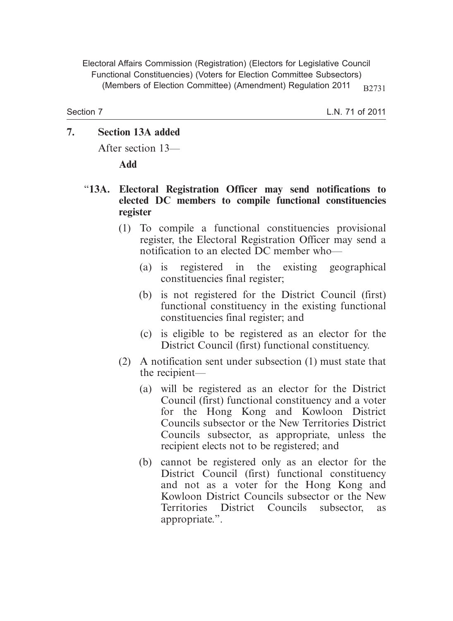Section 7

L.N. 71 of 2011

## **7. Section 13A added**

After section 13—

**Add**

### "**13A. Electoral Registration Officer may send notifications to elected DC members to compile functional constituencies register**

- (1) To compile a functional constituencies provisional register, the Electoral Registration Officer may send a notification to an elected DC member who—
	- (a) is registered in the existing geographical constituencies final register;
	- (b) is not registered for the District Council (first) functional constituency in the existing functional constituencies final register; and
	- (c) is eligible to be registered as an elector for the District Council (first) functional constituency.
- (2) A notification sent under subsection (1) must state that the recipient—
	- (a) will be registered as an elector for the District Council (first) functional constituency and a voter for the Hong Kong and Kowloon District Councils subsector or the New Territories District Councils subsector, as appropriate, unless the recipient elects not to be registered; and
	- (b) cannot be registered only as an elector for the District Council (first) functional constituency and not as a voter for the Hong Kong and Kowloon District Councils subsector or the New Territories District Councils subsector, as appropriate.".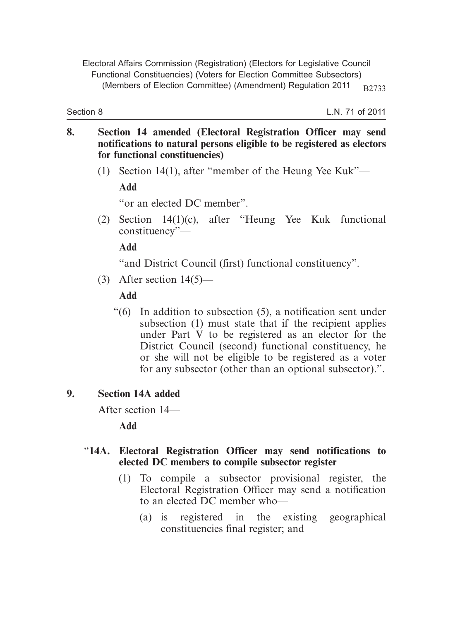Section 8

L.N. 71 of 2011

- **8. Section 14 amended (Electoral Registration Officer may send notifications to natural persons eligible to be registered as electors for functional constituencies)**
	- (1) Section 14(1), after "member of the Heung Yee Kuk"—

**Add**

"or an elected DC member".

 (2) Section 14(1)(c), after "Heung Yee Kuk functional constituency"—

**Add**

"and District Council (first) functional constituency".

(3) After section 14(5)—

## **Add**

 "(6) In addition to subsection (5), a notification sent under subsection (1) must state that if the recipient applies under Part V to be registered as an elector for the District Council (second) functional constituency, he or she will not be eligible to be registered as a voter for any subsector (other than an optional subsector).".

# **9. Section 14A added**

After section 14—

**Add**

#### "**14A. Electoral Registration Officer may send notifications to elected DC members to compile subsector register**

- (1) To compile a subsector provisional register, the Electoral Registration Officer may send a notification to an elected DC member who—
	- (a) is registered in the existing geographical constituencies final register; and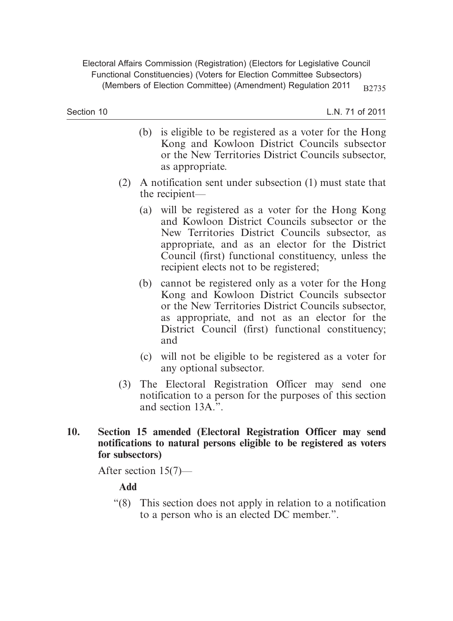Section 10

L.N. 71 of 2011

- (b) is eligible to be registered as a voter for the Hong Kong and Kowloon District Councils subsector or the New Territories District Councils subsector, as appropriate.
- (2) A notification sent under subsection (1) must state that the recipient—
	- (a) will be registered as a voter for the Hong Kong and Kowloon District Councils subsector or the New Territories District Councils subsector, as appropriate, and as an elector for the District Council (first) functional constituency, unless the recipient elects not to be registered;
	- (b) cannot be registered only as a voter for the Hong Kong and Kowloon District Councils subsector or the New Territories District Councils subsector, as appropriate, and not as an elector for the District Council (first) functional constituency; and
	- (c) will not be eligible to be registered as a voter for any optional subsector.
- (3) The Electoral Registration Officer may send one notification to a person for the purposes of this section and section 13A.".
- **10. Section 15 amended (Electoral Registration Officer may send notifications to natural persons eligible to be registered as voters for subsectors)**

After section 15(7)—

## **Add**

 "(8) This section does not apply in relation to a notification to a person who is an elected DC member.".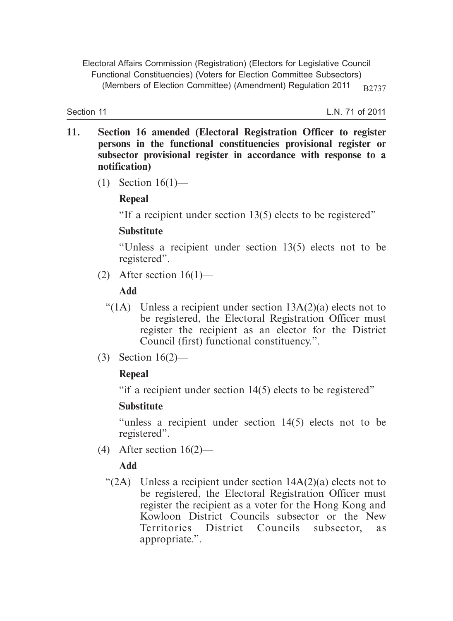Section 11

L.N. 71 of 2011

- **11. Section 16 amended (Electoral Registration Officer to register persons in the functional constituencies provisional register or subsector provisional register in accordance with response to a notification)**
	- (1) Section 16(1)—

## **Repeal**

"If a recipient under section 13(5) elects to be registered"

## **Substitute**

"Unless a recipient under section 13(5) elects not to be registered".

(2) After section  $16(1)$ —

## **Add**

- "(1A) Unless a recipient under section  $13A(2)(a)$  elects not to be registered, the Electoral Registration Officer must register the recipient as an elector for the District Council (first) functional constituency.".
- (3) Section 16(2)—

# **Repeal**

"if a recipient under section 14(5) elects to be registered"

## **Substitute**

"unless a recipient under section 14(5) elects not to be registered".

(4) After section 16(2)—

# **Add**

"(2A) Unless a recipient under section  $14A(2)(a)$  elects not to be registered, the Electoral Registration Officer must register the recipient as a voter for the Hong Kong and Kowloon District Councils subsector or the New Territories District Councils subsector, as appropriate.".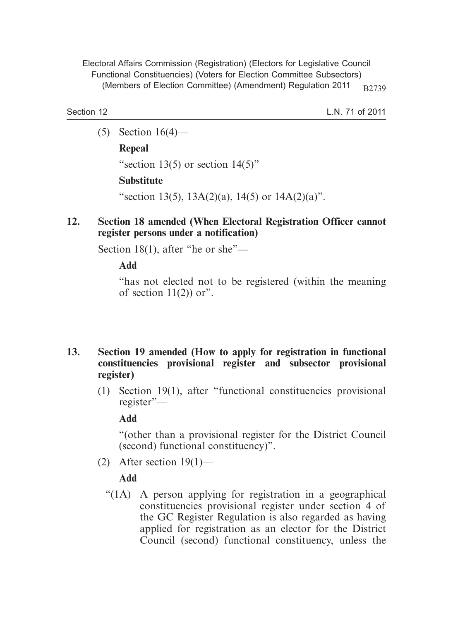Section 12

L.N. 71 of 2011

(5) Section 16(4)—

#### **Repeal**

"section 13(5) or section  $14(5)$ "

#### **Substitute**

"section 13(5),  $13A(2)(a)$ ,  $14(5)$  or  $14A(2)(a)$ ".

### **12. Section 18 amended (When Electoral Registration Officer cannot register persons under a notification)**

Section 18(1), after "he or she"—

**Add**

"has not elected not to be registered (within the meaning of section  $11(2)$  or".

#### **13. Section 19 amended (How to apply for registration in functional constituencies provisional register and subsector provisional register)**

 (1) Section 19(1), after "functional constituencies provisional register"—

**Add**

"(other than a provisional register for the District Council (second) functional constituency)".

(2) After section 19(1)—

## **Add**

 "(1A) A person applying for registration in a geographical constituencies provisional register under section 4 of the GC Register Regulation is also regarded as having applied for registration as an elector for the District Council (second) functional constituency, unless the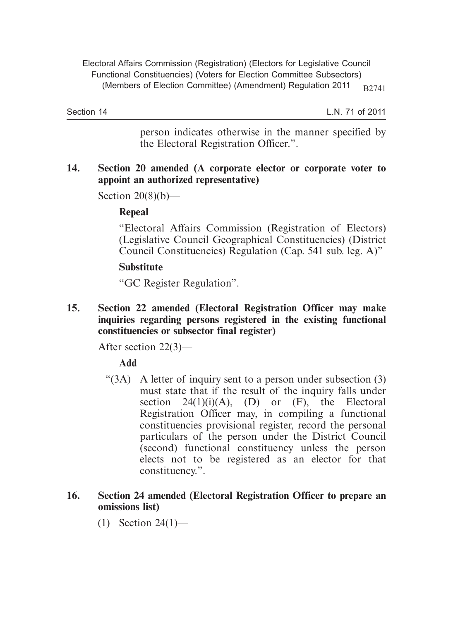Section 14

L.N. 71 of 2011

person indicates otherwise in the manner specified by the Electoral Registration Officer.".

#### **14. Section 20 amended (A corporate elector or corporate voter to appoint an authorized representative)**

Section  $20(8)(b)$ —

#### **Repeal**

"Electoral Affairs Commission (Registration of Electors) (Legislative Council Geographical Constituencies) (District Council Constituencies) Regulation (Cap. 541 sub. leg. A)"

#### **Substitute**

"GC Register Regulation".

**15. Section 22 amended (Electoral Registration Officer may make inquiries regarding persons registered in the existing functional constituencies or subsector final register)**

After section 22(3)—

## **Add**

" $(3A)$  A letter of inquiry sent to a person under subsection  $(3)$ must state that if the result of the inquiry falls under section  $24(1)(i)(A)$ , (D) or (F), the Electoral Registration Officer may, in compiling a functional constituencies provisional register, record the personal particulars of the person under the District Council (second) functional constituency unless the person elects not to be registered as an elector for that constituency.".

#### **16. Section 24 amended (Electoral Registration Officer to prepare an omissions list)**

(1) Section 24(1)—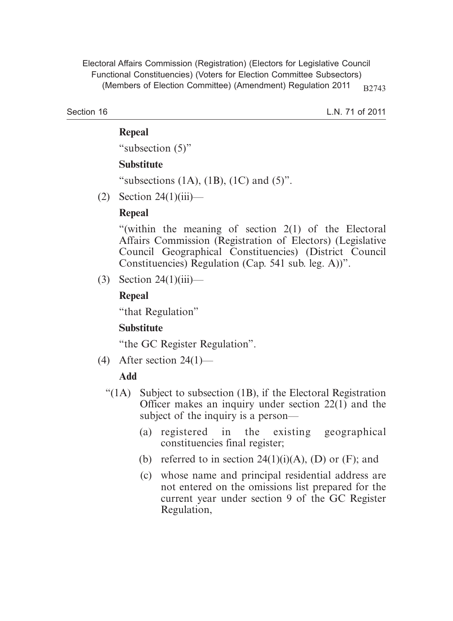Section 16

L.N. 71 of 2011

#### **Repeal**

"subsection (5)"

#### **Substitute**

"subsections  $(1A)$ ,  $(1B)$ ,  $(1C)$  and  $(5)$ ".

(2) Section 24(1)(iii)—

## **Repeal**

"(within the meaning of section 2(1) of the Electoral Affairs Commission (Registration of Electors) (Legislative Council Geographical Constituencies) (District Council Constituencies) Regulation (Cap. 541 sub. leg. A))".

 $(3)$  Section 24(1)(iii)—

## **Repeal**

"that Regulation"

# **Substitute**

"the GC Register Regulation".

(4) After section  $24(1)$ —

# **Add**

- " $(1)$  Subject to subsection  $(1)$ , if the Electoral Registration Officer makes an inquiry under section 22(1) and the subject of the inquiry is a person—
	- (a) registered in the existing geographical constituencies final register;
	- (b) referred to in section  $24(1)(i)(A)$ , (D) or (F); and
	- (c) whose name and principal residential address are not entered on the omissions list prepared for the current year under section 9 of the GC Register Regulation,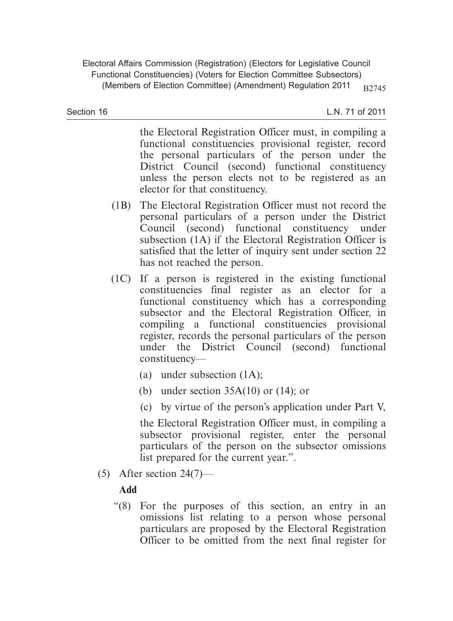Section 16

L.N. 71 of 2011

the Electoral Registration Officer must, in compiling a functional constituencies provisional register, record the personal particulars of the person under the District Council (second) functional constituency unless the person elects not to be registered as an elector for that constituency.

- (1B) The Electoral Registration Officer must not record the personal particulars of a person under the District Council (second) functional constituency under subsection (1A) if the Electoral Registration Officer is satisfied that the letter of inquiry sent under section 22 has not reached the person.
- (1C) If a person is registered in the existing functional constituencies final register as an elector for a functional constituency which has a corresponding subsector and the Electoral Registration Officer, in compiling a functional constituencies provisional register, records the personal particulars of the person under the District Council (second) functional constituency—
	- (a) under subsection (1A);
	- (b) under section  $35A(10)$  or  $(14)$ ; or
	- (c) by virtue of the person's application under Part V,

the Electoral Registration Officer must, in compiling a subsector provisional register, enter the personal particulars of the person on the subsector omissions list prepared for the current year.".

(5) After section 24(7)—

# **Add**

 "(8) For the purposes of this section, an entry in an omissions list relating to a person whose personal particulars are proposed by the Electoral Registration Officer to be omitted from the next final register for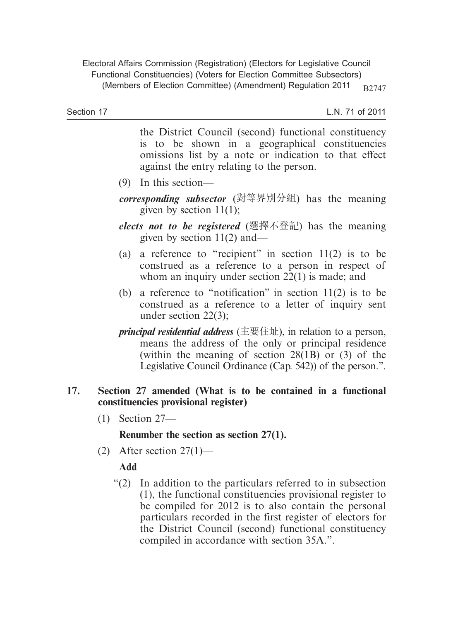L.N. 71 of 2011

the District Council (second) functional constituency is to be shown in a geographical constituencies omissions list by a note or indication to that effect against the entry relating to the person.

- (9) In this section—
- *corresponding subsector* (對等界別分組) has the meaning given by section  $11(1)$ ;
- *elects not to be registered* (選擇不登記) has the meaning given by section 11(2) and—
- (a) a reference to "recipient" in section  $11(2)$  is to be construed as a reference to a person in respect of whom an inquiry under section 22(1) is made; and
- (b) a reference to "notification" in section 11(2) is to be construed as a reference to a letter of inquiry sent under section 22(3);
- *principal residential address* (主要住址), in relation to a person, means the address of the only or principal residence (within the meaning of section 28(1B) or (3) of the Legislative Council Ordinance (Cap. 542)) of the person.".

#### **17. Section 27 amended (What is to be contained in a functional constituencies provisional register)**

(1) Section 27—

## **Renumber the section as section 27(1).**

(2) After section  $27(1)$ —

## **Add**

 "(2) In addition to the particulars referred to in subsection (1), the functional constituencies provisional register to be compiled for 2012 is to also contain the personal particulars recorded in the first register of electors for the District Council (second) functional constituency compiled in accordance with section 35A.".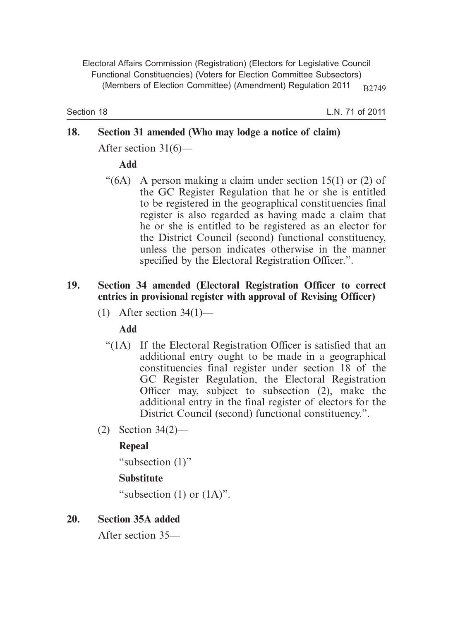Section 18

L.N. 71 of 2011

# **18. Section 31 amended (Who may lodge a notice of claim)**

After section 31(6)—

## **Add**

"(6A) A person making a claim under section 15(1) or (2) of the GC Register Regulation that he or she is entitled to be registered in the geographical constituencies final register is also regarded as having made a claim that he or she is entitled to be registered as an elector for the District Council (second) functional constituency, unless the person indicates otherwise in the manner specified by the Electoral Registration Officer.".

### **19. Section 34 amended (Electoral Registration Officer to correct entries in provisional register with approval of Revising Officer)**

(1) After section  $34(1)$ —

## **Add**

- "(1A) If the Electoral Registration Officer is satisfied that an additional entry ought to be made in a geographical constituencies final register under section 18 of the GC Register Regulation, the Electoral Registration Officer may, subject to subsection (2), make the additional entry in the final register of electors for the District Council (second) functional constituency.".
- (2) Section 34(2)—

## **Repeal**

"subsection (1)"

# **Substitute**

"subsection  $(1)$  or  $(1A)$ ".

# **20. Section 35A added**

After section 35—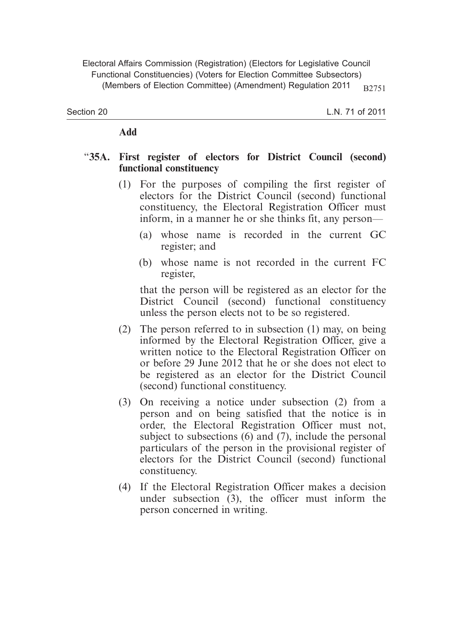Section 20

#### **Add**

#### "**35A. First register of electors for District Council (second) functional constituency**

- (1) For the purposes of compiling the first register of electors for the District Council (second) functional constituency, the Electoral Registration Officer must inform, in a manner he or she thinks fit, any person—
	- (a) whose name is recorded in the current GC register; and
	- (b) whose name is not recorded in the current FC register,

that the person will be registered as an elector for the District Council (second) functional constituency unless the person elects not to be so registered.

- (2) The person referred to in subsection (1) may, on being informed by the Electoral Registration Officer, give a written notice to the Electoral Registration Officer on or before 29 June 2012 that he or she does not elect to be registered as an elector for the District Council (second) functional constituency.
- (3) On receiving a notice under subsection (2) from a person and on being satisfied that the notice is in order, the Electoral Registration Officer must not, subject to subsections (6) and (7), include the personal particulars of the person in the provisional register of electors for the District Council (second) functional constituency.
- (4) If the Electoral Registration Officer makes a decision under subsection (3), the officer must inform the person concerned in writing.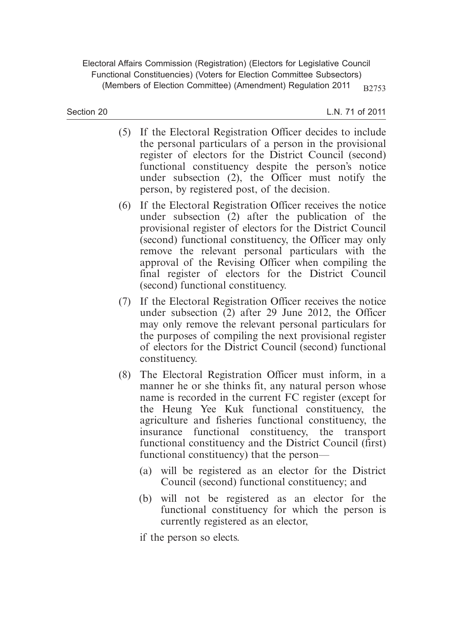Section 20

- (5) If the Electoral Registration Officer decides to include the personal particulars of a person in the provisional register of electors for the District Council (second) functional constituency despite the person's notice under subsection (2), the Officer must notify the person, by registered post, of the decision.
- (6) If the Electoral Registration Officer receives the notice under subsection (2) after the publication of the provisional register of electors for the District Council (second) functional constituency, the Officer may only remove the relevant personal particulars with the approval of the Revising Officer when compiling the final register of electors for the District Council (second) functional constituency.
- (7) If the Electoral Registration Officer receives the notice under subsection (2) after 29 June 2012, the Officer may only remove the relevant personal particulars for the purposes of compiling the next provisional register of electors for the District Council (second) functional constituency.
- (8) The Electoral Registration Officer must inform, in a manner he or she thinks fit, any natural person whose name is recorded in the current FC register (except for the Heung Yee Kuk functional constituency, the agriculture and fisheries functional constituency, the insurance functional constituency, the transport functional constituency and the District Council (first) functional constituency) that the person—
	- (a) will be registered as an elector for the District Council (second) functional constituency; and
	- (b) will not be registered as an elector for the functional constituency for which the person is currently registered as an elector,
	- if the person so elects.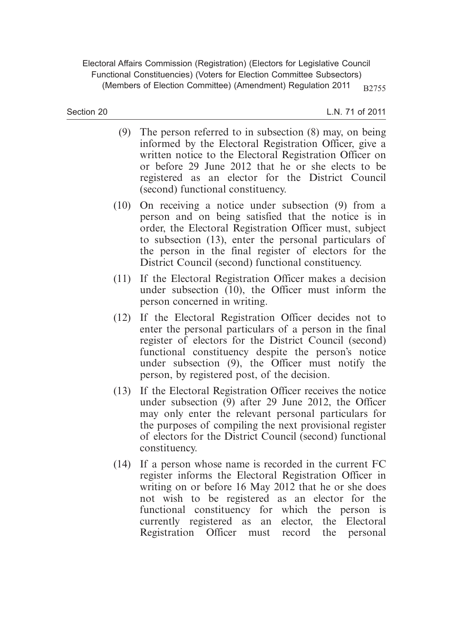Section 20

- (9) The person referred to in subsection (8) may, on being informed by the Electoral Registration Officer, give a written notice to the Electoral Registration Officer on or before 29 June 2012 that he or she elects to be registered as an elector for the District Council (second) functional constituency.
- (10) On receiving a notice under subsection (9) from a person and on being satisfied that the notice is in order, the Electoral Registration Officer must, subject to subsection (13), enter the personal particulars of the person in the final register of electors for the District Council (second) functional constituency.
- (11) If the Electoral Registration Officer makes a decision under subsection (10), the Officer must inform the person concerned in writing.
- (12) If the Electoral Registration Officer decides not to enter the personal particulars of a person in the final register of electors for the District Council (second) functional constituency despite the person's notice under subsection (9), the Officer must notify the person, by registered post, of the decision.
- (13) If the Electoral Registration Officer receives the notice under subsection (9) after 29 June 2012, the Officer may only enter the relevant personal particulars for the purposes of compiling the next provisional register of electors for the District Council (second) functional constituency.
- (14) If a person whose name is recorded in the current FC register informs the Electoral Registration Officer in writing on or before 16 May 2012 that he or she does not wish to be registered as an elector for the functional constituency for which the person is currently registered as an elector, the Electoral Registration Officer must record the personal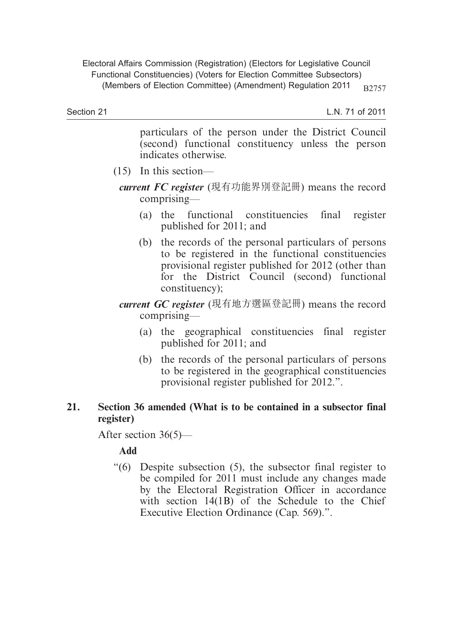Section 21

L.N. 71 of 2011

particulars of the person under the District Council (second) functional constituency unless the person indicates otherwise.

- (15) In this section
	- *current FC register* (現有功能界別登記冊) means the record comprising—
		- (a) the functional constituencies final register published for 2011; and
		- (b) the records of the personal particulars of persons to be registered in the functional constituencies provisional register published for 2012 (other than for the District Council (second) functional constituency);
	- *current GC register* (現有地方選區登記冊) means the record comprising—
		- (a) the geographical constituencies final register published for 2011; and
		- (b) the records of the personal particulars of persons to be registered in the geographical constituencies provisional register published for 2012.".

#### **21. Section 36 amended (What is to be contained in a subsector final register)**

After section 36(5)—

## **Add**

 "(6) Despite subsection (5), the subsector final register to be compiled for 2011 must include any changes made by the Electoral Registration Officer in accordance with section 14(1B) of the Schedule to the Chief Executive Election Ordinance (Cap. 569).".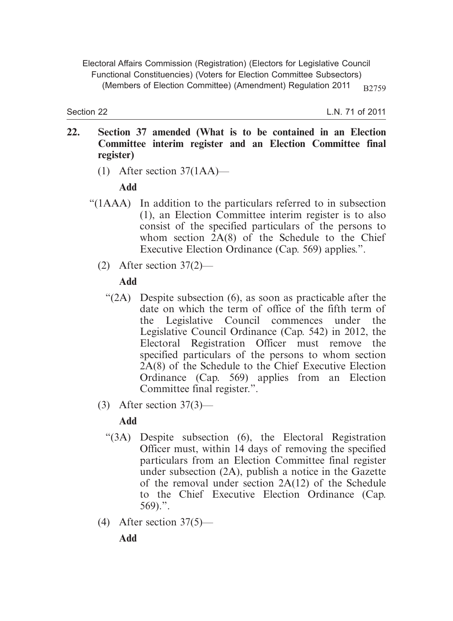Section 22

L.N. 71 of 2011

- **22. Section 37 amended (What is to be contained in an Election Committee interim register and an Election Committee final register)**
	- (1) After section 37(1AA)—

## **Add**

- "(1AAA) In addition to the particulars referred to in subsection (1), an Election Committee interim register is to also consist of the specified particulars of the persons to whom section  $2A(8)$  of the Schedule to the Chief Executive Election Ordinance (Cap. 569) applies.".
	- (2) After section  $37(2)$ —

## **Add**

- "(2A) Despite subsection (6), as soon as practicable after the date on which the term of office of the fifth term of the Legislative Council commences under the Legislative Council Ordinance (Cap. 542) in 2012, the Electoral Registration Officer must remove the specified particulars of the persons to whom section 2A(8) of the Schedule to the Chief Executive Election Ordinance (Cap. 569) applies from an Election Committee final register.".
- (3) After section 37(3)—

# **Add**

- "(3A) Despite subsection (6), the Electoral Registration Officer must, within 14 days of removing the specified particulars from an Election Committee final register under subsection (2A), publish a notice in the Gazette of the removal under section 2A(12) of the Schedule to the Chief Executive Election Ordinance (Cap.  $569$ ).".
- (4) After section  $37(5)$ —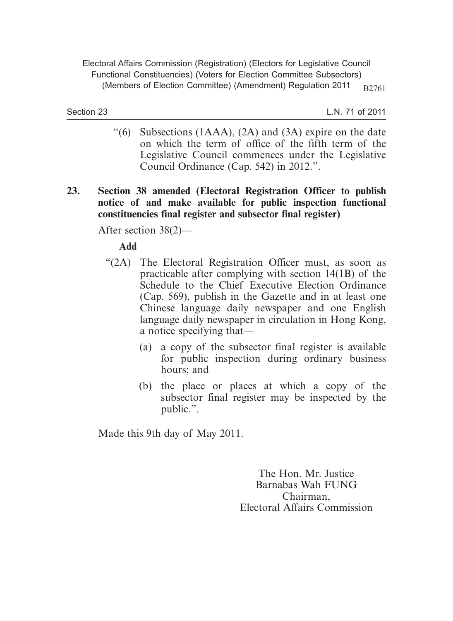Section 23

L.N. 71 of 2011

- "(6) Subsections  $(1AAA)$ ,  $(2A)$  and  $(3A)$  expire on the date on which the term of office of the fifth term of the Legislative Council commences under the Legislative Council Ordinance (Cap. 542) in 2012.".
- **23. Section 38 amended (Electoral Registration Officer to publish notice of and make available for public inspection functional constituencies final register and subsector final register)**

After section 38(2)—

**Add**

- "(2A) The Electoral Registration Officer must, as soon as practicable after complying with section 14(1B) of the Schedule to the Chief Executive Election Ordinance (Cap. 569), publish in the Gazette and in at least one Chinese language daily newspaper and one English language daily newspaper in circulation in Hong Kong, a notice specifying that—
	- (a) a copy of the subsector final register is available for public inspection during ordinary business hours; and
	- (b) the place or places at which a copy of the subsector final register may be inspected by the public.".

Made this 9th day of May 2011.

The Hon. Mr. Justice Barnabas Wah FUNG Chairman, Electoral Affairs Commission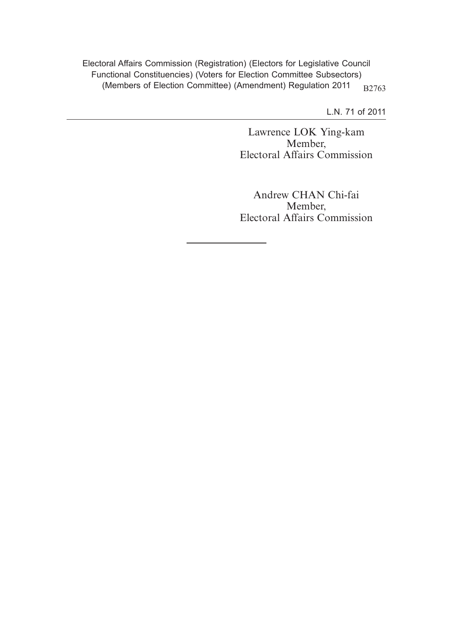L.N. 71 of 2011

Lawrence LOK Ying-kam Member, Electoral Affairs Commission

Andrew CHAN Chi-fai Member, Electoral Affairs Commission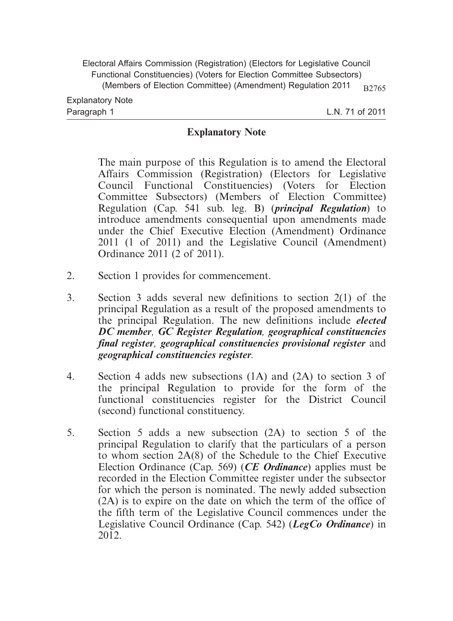L.N. 71 of 2011

#### **Explanatory Note**

The main purpose of this Regulation is to amend the Electoral Affairs Commission (Registration) (Electors for Legislative Council Functional Constituencies) (Voters for Election Committee Subsectors) (Members of Election Committee) Regulation (Cap. 541 sub. leg. B) (*principal Regulation*) to introduce amendments consequential upon amendments made under the Chief Executive Election (Amendment) Ordinance 2011 (1 of 2011) and the Legislative Council (Amendment) Ordinance 2011 (2 of 2011).

- 2. Section 1 provides for commencement.
- 3. Section 3 adds several new definitions to section 2(1) of the principal Regulation as a result of the proposed amendments to the principal Regulation. The new definitions include *elected DC member, GC Register Regulation, geographical constituencies final register, geographical constituencies provisional register* and *geographical constituencies register.*
- 4. Section 4 adds new subsections (1A) and (2A) to section 3 of the principal Regulation to provide for the form of the functional constituencies register for the District Council (second) functional constituency.
- 5. Section 5 adds a new subsection (2A) to section 5 of the principal Regulation to clarify that the particulars of a person to whom section 2A(8) of the Schedule to the Chief Executive Election Ordinance (Cap. 569) (*CE Ordinance*) applies must be recorded in the Election Committee register under the subsector for which the person is nominated. The newly added subsection (2A) is to expire on the date on which the term of the office of the fifth term of the Legislative Council commences under the Legislative Council Ordinance (Cap. 542) (*LegCo Ordinance*) in 2012.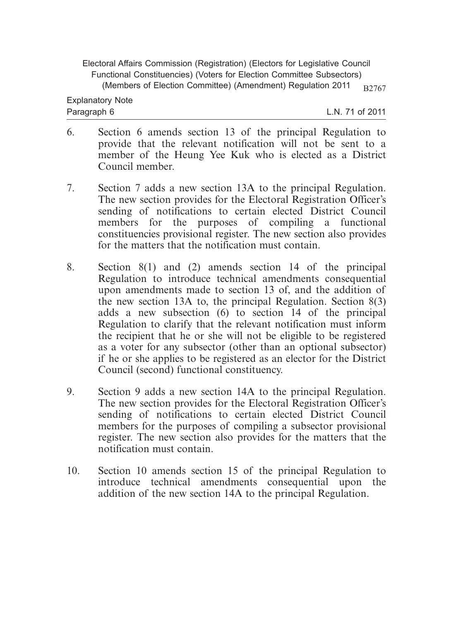- 6. Section 6 amends section 13 of the principal Regulation to provide that the relevant notification will not be sent to a member of the Heung Yee Kuk who is elected as a District Council member.
- 7. Section 7 adds a new section 13A to the principal Regulation. The new section provides for the Electoral Registration Officer's sending of notifications to certain elected District Council members for the purposes of compiling a functional constituencies provisional register. The new section also provides for the matters that the notification must contain.
- 8. Section 8(1) and (2) amends section 14 of the principal Regulation to introduce technical amendments consequential upon amendments made to section 13 of, and the addition of the new section 13A to, the principal Regulation. Section 8(3) adds a new subsection (6) to section 14 of the principal Regulation to clarify that the relevant notification must inform the recipient that he or she will not be eligible to be registered as a voter for any subsector (other than an optional subsector) if he or she applies to be registered as an elector for the District Council (second) functional constituency.
- 9. Section 9 adds a new section 14A to the principal Regulation. The new section provides for the Electoral Registration Officer's sending of notifications to certain elected District Council members for the purposes of compiling a subsector provisional register. The new section also provides for the matters that the notification must contain.
- 10. Section 10 amends section 15 of the principal Regulation to introduce technical amendments consequential upon the addition of the new section 14A to the principal Regulation.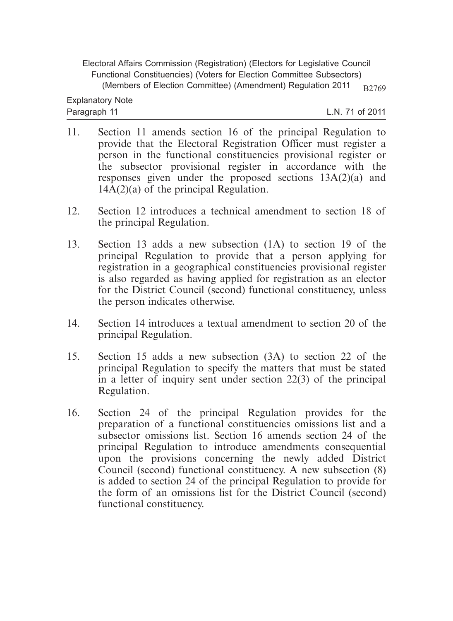- 11. Section 11 amends section 16 of the principal Regulation to provide that the Electoral Registration Officer must register a person in the functional constituencies provisional register or the subsector provisional register in accordance with the responses given under the proposed sections 13A(2)(a) and  $14A(2)(a)$  of the principal Regulation.
- 12. Section 12 introduces a technical amendment to section 18 of the principal Regulation.
- 13. Section 13 adds a new subsection (1A) to section 19 of the principal Regulation to provide that a person applying for registration in a geographical constituencies provisional register is also regarded as having applied for registration as an elector for the District Council (second) functional constituency, unless the person indicates otherwise.
- 14. Section 14 introduces a textual amendment to section 20 of the principal Regulation.
- 15. Section 15 adds a new subsection (3A) to section 22 of the principal Regulation to specify the matters that must be stated in a letter of inquiry sent under section 22(3) of the principal Regulation.
- 16. Section 24 of the principal Regulation provides for the preparation of a functional constituencies omissions list and a subsector omissions list. Section 16 amends section 24 of the principal Regulation to introduce amendments consequential upon the provisions concerning the newly added District Council (second) functional constituency. A new subsection (8) is added to section 24 of the principal Regulation to provide for the form of an omissions list for the District Council (second) functional constituency.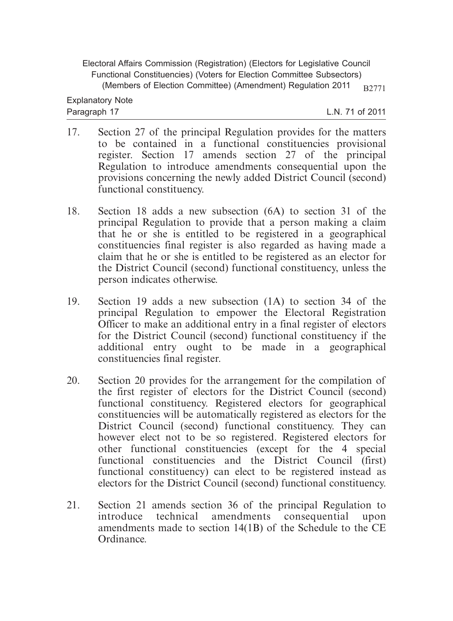- 17. Section 27 of the principal Regulation provides for the matters to be contained in a functional constituencies provisional register. Section 17 amends section 27 of the principal Regulation to introduce amendments consequential upon the provisions concerning the newly added District Council (second) functional constituency.
- 18. Section 18 adds a new subsection (6A) to section 31 of the principal Regulation to provide that a person making a claim that he or she is entitled to be registered in a geographical constituencies final register is also regarded as having made a claim that he or she is entitled to be registered as an elector for the District Council (second) functional constituency, unless the person indicates otherwise.
- 19. Section 19 adds a new subsection (1A) to section 34 of the principal Regulation to empower the Electoral Registration Officer to make an additional entry in a final register of electors for the District Council (second) functional constituency if the additional entry ought to be made in a geographical constituencies final register.
- 20. Section 20 provides for the arrangement for the compilation of the first register of electors for the District Council (second) functional constituency. Registered electors for geographical constituencies will be automatically registered as electors for the District Council (second) functional constituency. They can however elect not to be so registered. Registered electors for other functional constituencies (except for the 4 special functional constituencies and the District Council (first) functional constituency) can elect to be registered instead as electors for the District Council (second) functional constituency.
- 21. Section 21 amends section 36 of the principal Regulation to introduce technical amendments consequential upon amendments made to section 14(1B) of the Schedule to the CE Ordinance.